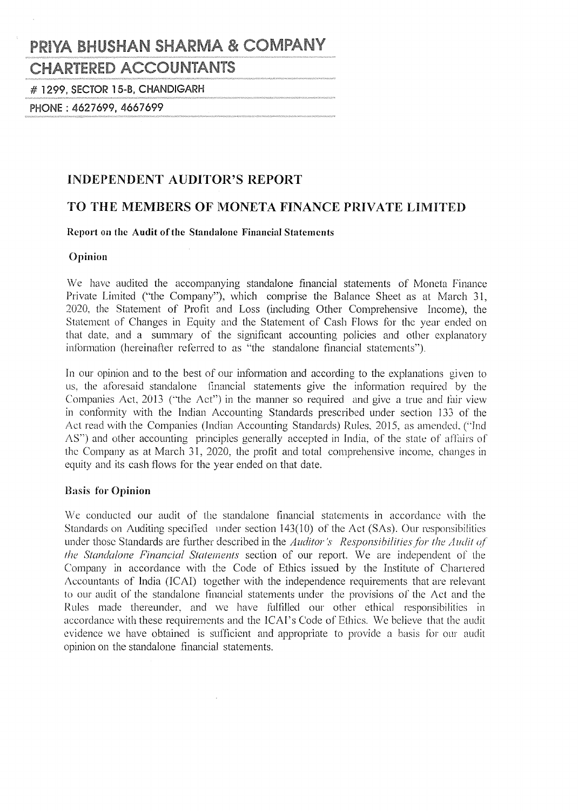# **PRIYA BHUSHAN SHARMA & COMPANY CHARTERED ACCOUNTANTS**

# 1299, SECTOR 15-B, CHANDIGARH

PHONE: 4627699, 4667699

## **INDEPENDENT AUDITOR'S REPORT**

## TO THE MEMBERS OF MONETA FINANCE PRIVATE LIMITED

## **Report on the Audit of the Standalone Financial Statements**

## **Opinion**

We have audited the accompanying standalone financial statements of Moneta Finance Private Limited ("the Company"), which comprise the Balance Sheet as at March 31, 2020, the Statement of Profit and Loss (including Other Comprehensive Income), the Statement of Changes in Equity and the Statement of Cash Flows for the year ended on that date, and a summary of the significant accounting policies and other explanatory information (hereinafter referred to as "the standalone financial statements").

In our opinion and to the best of our information and according to the explanations given to us, the aforesaid standalone financial statements give the information required by the Companies Act, 2013 ("the Act") in the manner so required and give a true and fair view in conformity with the Indian Accounting Standards prescribed under section 133 of the Act read with the Companies (Indian Accounting Standards) Rules, 2015, as amended, ("Ind AS") and other accounting principles generally accepted in India, of the state of affairs of the Company as at March 31, 2020, the profit and total comprehensive income, changes in equity and its cash flows for the year ended on that date.

## **Basis for Opinion**

We conducted our audit of the standalone financial statements in accordance with the Standards on Auditing specified under section 143(10) of the Act (SAs). Our responsibilities under those Standards are further described in the *Auditor's Responsibilities for the Audit of the Standalone Financial Statements* section of our report. We are independent of the Company in accordance with the Code of Ethics issued by the Institute of Chanered Accountants of India (ICAI) together with the independence requirements that arc relevant to our audit of the standalone financial statements under the provisions of the Act and the Rules made thereunder, and we have fulfilled our other ethical responsibilities in accordance with these requirements and the ICAI's Code of Ethics. We believe that the audit evidence we have obtained is sufficient and appropriate to provide a basis for our audit opinion on the standalone financial statements.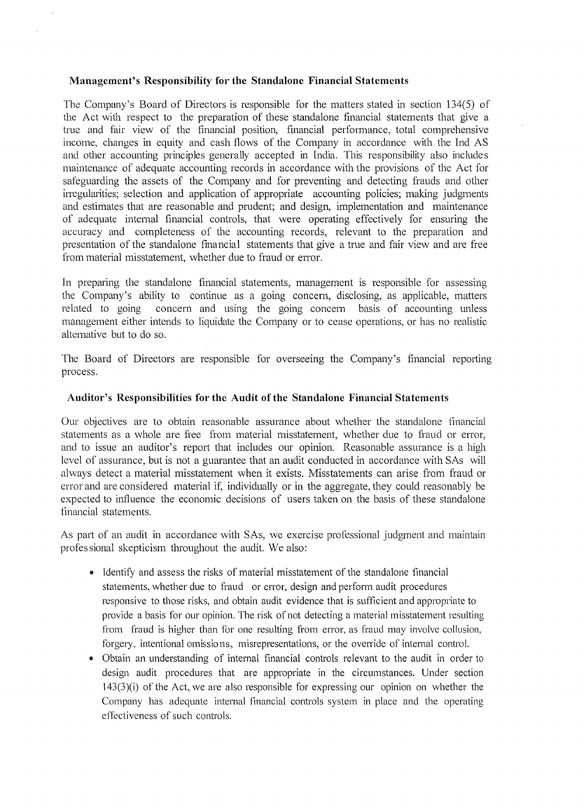## **Management's Responsibility for the Standalone Financial Statements**

The Company's Board of Directors is responsible for the matters stated in section 134(5) of the Act with respect to the preparation of these standalone financial statements that give a true and fair view of the financial position, financial performance, total comprehensive income, changes in equity and cash flows of the Company in accordance with the Ind AS and other accounting principles generally accepted in India. This responsibility also includes maintenance of adequate accounting records in accordance with the provisions of the Act for safeguarding the assets of the Company and for preventing and detecting frauds and other integularities; selection and application of appropriate accounting policies; making judgments and estimates that are reasonable and prudent; and design, implementation and maintenance of adequate internal financial controls, that were operating effectively for ensuring the accuracy and completeness of the accounting records, relevant to the preparation and presentation of the standalone financial statements that give a true and fair view and are free from material misstatement, whether due to fraud or error.

In preparing the standalone financial statements, management is responsible for assessing the Company's ability to continue as a going concern, disclosing, as applicable, matters related to going concern and using the going concern basis of accounting unless management either intends to liquidate the Company or to cease operations, or has no realistic alternative but to do so.

The Board of Directors are responsible for overseemg the Company's financial reporting process.

## **Auditor's Responsibilities for the Audit of the Standalone Financial Statements**

Our objectives are to obtain reasonable assurance about whether the standalone financial statements as a whole are free from material misstatement, whether due to fraud or error, and to issue an auditor's report that includes our opinion. Reasonable assurance is a high level of assurance, but is not a guarantee that an audit conducted in accordance with SAs will always detect a material misstatement when it exists. Misstatements can arise from fraud or error and are considered material if, individually or in the aggregate, they could reasonably be expected to influence the economic decisions of users taken on the basis of these standalone financial statements.

As part of an audit in accordance with SAs, we exercise professional judgment and maintain professional skepticism throughout the audit. We also:

- Identify and assess the risks of material misstatement of the standalone financial statements, whether due to fraud or error, design and perform audit procedures responsive to those risks, and obtain audit evidence that is sufficient and appropriate to provide a basis for our opinion. The risk of not detecting a material misstatement resulting from fraud is higher than for one resulting from error, as fraud may involve collusion, forgery, intentional omissions, misrepresentations, or the override of internal control.
- Obtain an understanding of internal financial controls relevant to the audit in order to design audit procedures that are appropriate in the circumstances. Under section 143(3)(i) of the Act, we are also responsible for expressing our opinion on whether the Company has adequate internal financial controls system in place and the operating effectiveness of such controls.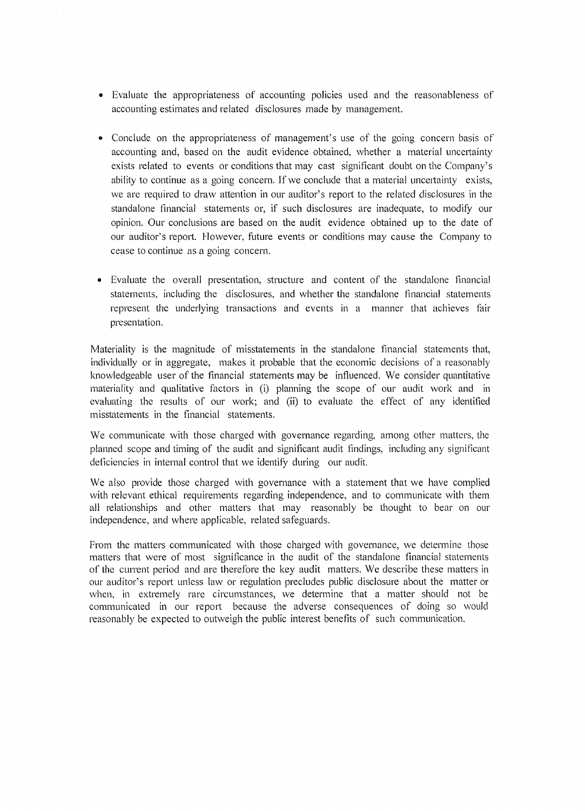- Evaluate the appropriateness of accounting policies used and the reasonableness of accounting estimates and related disclosures made by management.
- Conclude on the appropriateness of management's use of the going concern basis of accounting and, based on the audit evidence obtained, whether a material uncertainty exists related to events or conditions that may cast significant doubt on the Company's ability to continue as a going concern. If we conclude that a material uncertainty exists, we are required to draw attention in our auditor's report to the related disclosures in the standalone financial statements or, if such disclosures are inadequate, to modify our opinion. Our conclusions are based on the audit evidence obtained up to the date of our auditor's report. However, future events or conditions may cause the Company to cease to continue as a going concern.
- Evaluate the overall presentation, structure and content of the standalone financial statements, including the disclosures, and whether the standalone financial statements represent the underlying transactions and events in a manner that achieves fair presentation.

Materiality is the magnitude of misstatements in the standalone financial statements that, individually or in aggregate, makes it probable that the economic decisions of a reasonably knowledgeable user of the financial statements may be influenced. We consider quantitative materiality and qualitative factors in (i) planning the scope of our audit work and in evaluating the results of our work; and (ii) to evaluate the effect of any identified misstatements in the financial statements.

We communicate with those charged with governance regarding, among other matters, the planned scope and timing of the audit and significant audit findings, including any significant deficiencies in internal control that we identify during our audit.

We also provide those charged with governance with a statement that we have complied with relevant ethical requirements regarding independence, and to communicate with them all relationships and other matters that may reasonably be thought to bear on our independence, and where applicable, related safeguards.

From the matters communicated with those charged with governance, we determine those matters that were of most significance in the audit of the standalone financial statements of the current period and are therefore the key audit matters. We describe these matters in our auditor's report unless law or regulation precludes public disclosure about the matter or when, in extremely rare circumstances, we determine that a matter should not be communicated in our report because the adverse consequences of doing so would reasonably be expected to outweigh the public interest benefits of such communication.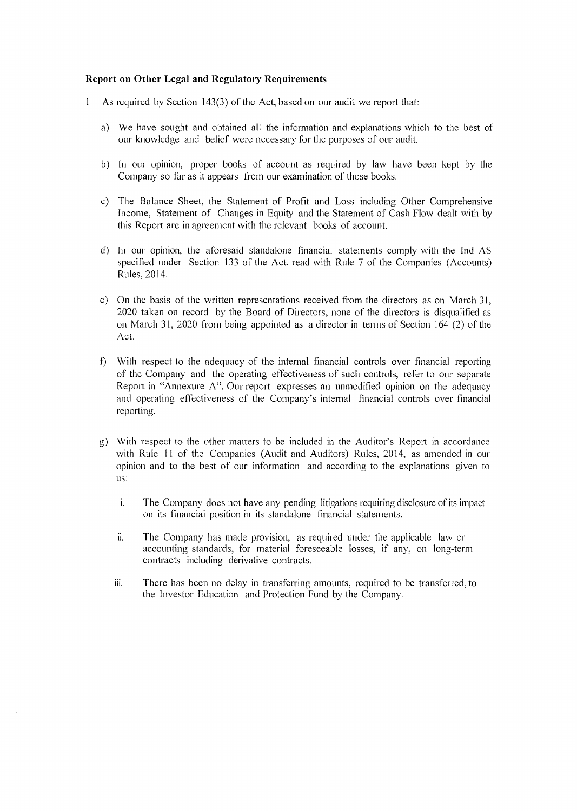### **Report on Other Legal and Regulatory Requirements**

- I. As required by Section 143(3) of the Act, based on our audit we report that:
	- a) We have sought and obtained all the information and explanations which to the best of our knowledge and belief were necessary for the purposes of our audit.
	- b) In our opinion, proper books of account as required by law have been kept by the Company so far as it appears from our examination of those books.
	- c) The Balance Sheet, the Statement of Profit and Loss including Other Comprehensive Income, Statement of Changes in Equity and the Statement of Cash Flow dealt with by this Report are in agreement with the relevant books of account.
	- d) In our opinion, the aforesaid standalone financial statements comply with the Ind AS specified under Section 133 of the Act, read with Rule 7 of the Companies (Accounts) Rules, 2014.
	- e) On the basis of the written representations received from the directors as on March 31, 2020 taken on record by the Board of Directors, none of the directors is disqualified as on March 31, 2020 from being appointed as a director in terms of Section 164 (2) of the Act.
	- f) With respect to the adequacy of the internal financial controls over financial reporting of the Company and the operating effectiveness of such controls, refer to our separate Report in "Annexure A". Our report expresses an unmodified opinion on the adequacy and operating effectiveness of the Company's internal financial controls over financial reporting.
	- g) With respect to the other matters to be included in the Auditor's Report in accordance with Rule 11 of the Companies (Audit and Auditors) Rules, 2014, as amended in our opinion and to the best of our information and according to the explanations given to us:
		- 1. The Company does not have any pending litigations requiring disclosure of its impact on its financial position in its standalone financial statements.
		- i. The Company has made provision, as required under the applicable law or accounting standards, for material foreseeable losses, if any, on long-term contracts including derivative contracts.
		- iii. There has been no delay in transferring amounts, required to be transferred, to the Investor Education and Protection Fund by the Company.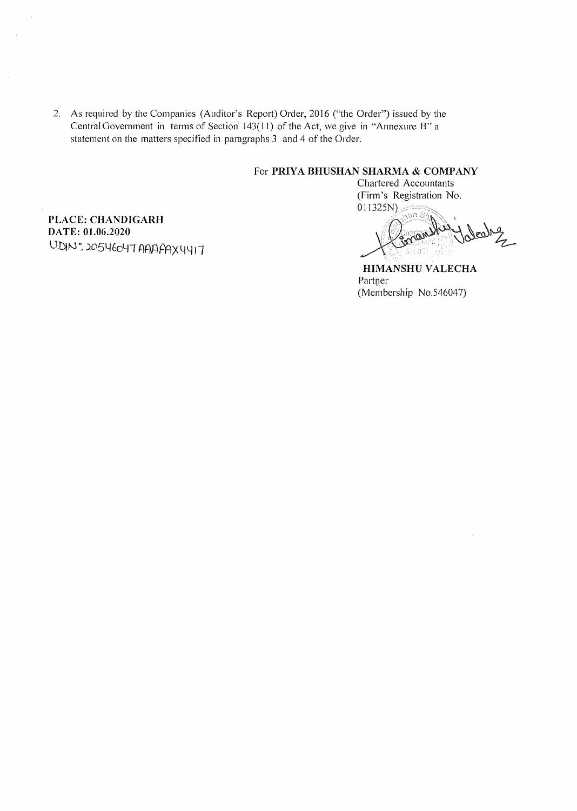2. As required by the Companies (Auditor's Report) Order, 2016 ("the Order") issued by the Central Government in terms of Section  $143(11)$  of the Act, we give in "Annexure B" a statement on the matters specified in paragraphs 3 and 4 of the Order.

For PRIYA BHUSHAN SHARMA & COMPANY

Chartered Accountants (Firm's Registration No.

**PLACE: CHANDIGARH DATE: 01.06.2020**  UDIN " 20546047 AAAAAX4417

011325N) an S Jest  $Z$ 

**HIMANSHU VALECHA** Partner (Membership No.546047)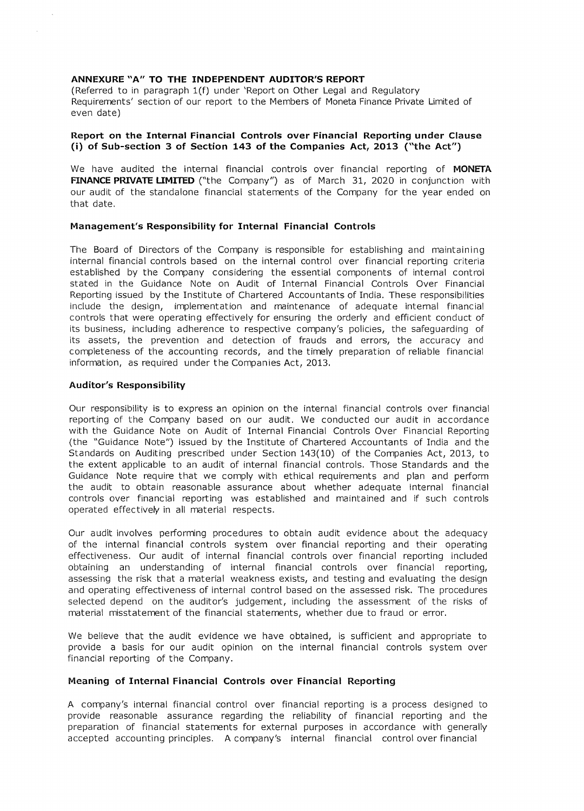## **ANNEXURE "A" TO THE INDEPENDENT AUDITOR'S REPORT**

(Referred to in paragraph l(f) under 'Report on Other Legal and Regulatory Requirements' section of our report to the Members of Moneta Finance Private Limited of even date)

### **Report on the Internal Financial Controls over Financial Reporting under Clause (i) of Sub-section 3 of Section 143 of the Companies Act, 2013 ("the Act")**

We have audited the internal financial controls over financial reporting of **MONETA FINANCE PRIVATE UMITED** ("the Company") as of March 31, 2020 in conjunction with our audit of the standalone financial statements of the Company for the year ended on that date.

### **Management's Responsibility for Internal Financial Controls**

The Board of Directors of the Company is responsible for establishing and maintaining internal financial controls based on the internal control over financial reporting criteria established by the Company considering the essential components of internal control stated in the Guidance Note on Audit of Internal Financial Controls Over Financial Reporting issued by the Institute of Chartered Accountants of India. These responsibilities include the design, implementation and maintenance of adequate internal financial controls that were operating effectively for ensuring the orderly and efficient conduct of its business, including adherence to respective company's policies, the safeguarding of its assets, the prevention and detection of frauds and errors, the accuracy and completeness of the accounting records, and the timely preparation of reliable financial information, as required under the Companies Act, 2013.

### **Auditor's Responsibility**

Our responsibility is to express an opinion on the internal financial controls over financial reporting of the Company based on our audit. We conducted our audit in accordance with the Guidance Note on Audit of Internal Financial Controls Over Financial Reporting (the "Guidance Note") issued by the Institute of Chartered Accountants of India and the Standards on Auditing prescribed under Section 143(10) of the Companies Act, 2013, to the extent applicable to an audit of internal financial controls. Those Standards and the Guidance Note require that we comply with ethical requirements and plan and perform the audit to obtain reasonable assurance about whether adequate internal financial controls over financial reporting was established and maintained and if such controls operated effectively in all material respects.

Our audit involves performing procedures to obtain audit evidence about the adequacy of the internal financial controls system over financial reporting and their operating effectiveness. Our audit of internal financial controls over financial reporting included obtaining an understanding of internal financial controls over financial reporting, assessing the risk that a material weakness exists, and testing and evaluating the design and operating effectiveness of internal control based on the assessed risk. The procedures selected depend on the auditor's judgement, including the assessment of the risks of material misstatement of the financial statements, whether due to fraud or error.

We believe that the audit evidence we have obtained, is sufficient and appropriate to provide a basis for our audit opinion on the internal financial controls system over financial reporting of the Company.

### **Meaning of Internal Financial Controls over Financial Reporting**

A company's internal financial control over financial reporting is a process designed to provide reasonable assurance regarding the reliability of financial reporting and the preparation of financial statements for external purposes in accordance with generally accepted accounting principles. A company's internal financial control over financial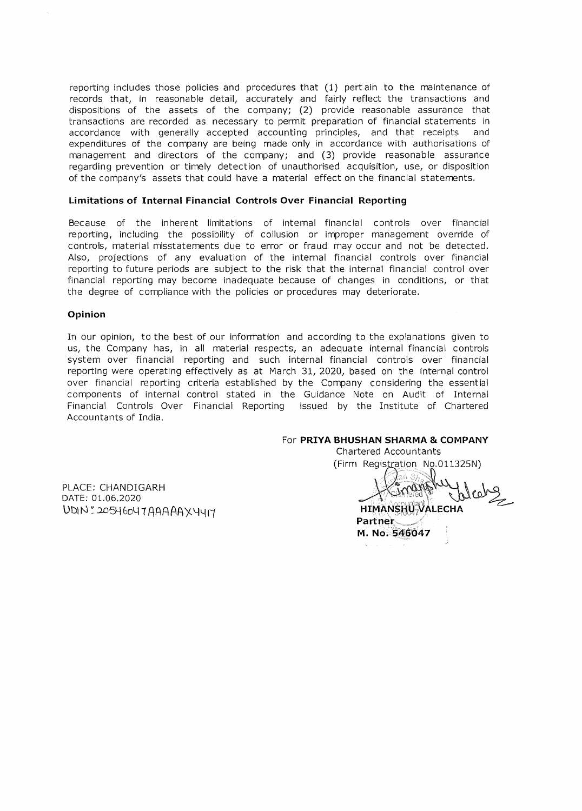reporting includes those policies and procedures that (1) pertain to the maintenance of records that, in reasonable detail, accurately and fairly reflect the transactions and dispositions of the assets of the company; (2) provide reasonable assurance that transactions are recorded as necessary to permit preparation of financial statements in accordance with generally accepted accounting principles, and that receipts and expenditures of the company are being made only in accordance with authorisations of management and directors of the company; and (3) provide reasonable assurance regarding prevention or timely detection of unauthorised acquisition, use, or disposition of the company's assets that could have a material effect on the financial statements.

### **Limitations of Internal Financial Controls Over Financial Reporting**

Because of the inherent limitations of internal financial controls over financial reporting, including the possibility of collusion or improper management override of controls, material misstatements due to error or fraud may occur and not be detected. Also, projections of any evaluation of the internal financial controls over financial reporting to future periods are subject to the risk that the internal financial control over financial reporting may become inadequate because of changes in conditions, or that the degree of compliance with the policies or procedures may deteriorate.

### **Opinion**

In our opinion, to the best of our information and according to the explanations given to us, the Company has, in all material respects, an adequate internal financial controls system over financial reporting and such internal financial controls over financial reporting were operating effectively as at March 31, 2020, based on the internal control over financial reporting criteria established by the Company considering the essential components of internal control stated in the Guidance Note on Audit of Internal Financial Controls Over Financial Reporting issued by the Institute of Chartered Accountants of India.

## For PRIYA BHUSHAN SHARMA & COMPANY

Chartered Accountants (Firm Registration No.011325N)

PLACE: CHANDIGARH DATE: 01.06.2020 UDIN : 20546047 AAAAAX4417

**HIMANSHU-VALECHA Partner** M. No. 546047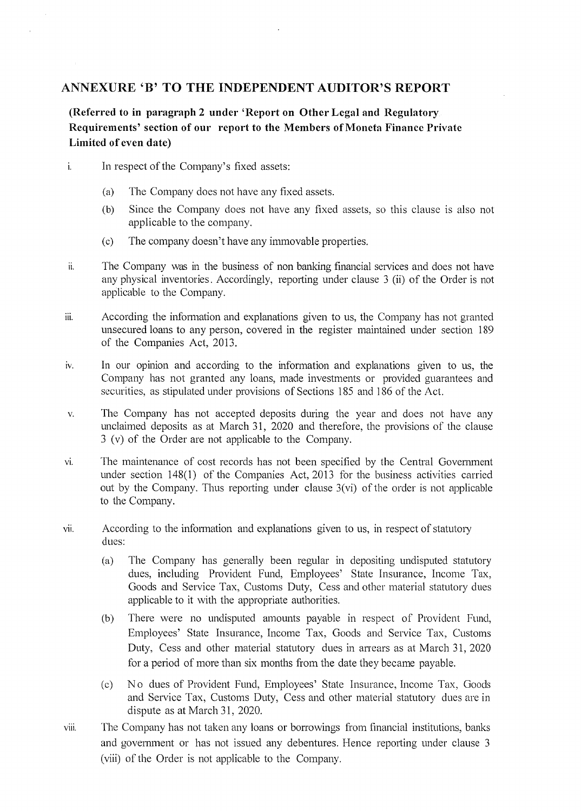## **ANNEXURE 'B' TO THE INDEPENDENT AUDITOR'S REPORT**

**(Referred to in paragraph 2 under 'Report on Other Legal and Regulatory Requirements' section of our report to the Members of Moneta Finance Private Limited of even date)** 

- 1. In respect of the Company's fixed assets:
	- (a) The Company does not have any fixed assets.
	- (b) Since the Company does not have any fixed assets, so this clause is also not applicable to the company.
	- (c) The company doesn't have any immovable properties.
- ii. The Company was in the business of non banking financial services and does not have any physical inventories. Accordingly, reporting under clause 3 (ii) of the Order is not applicable to the Company.
- iii. According the information and explanations given to us, the Company has not granted unsecured loans to any person, covered in the register maintained under section 189 of the Companies Act, 2013.
- 1v. In our opinion and according to the information and explanations given to us, the Company has not granted any loans, made investments or provided guarantees and securities, as stipulated under provisions of Sections 185 and 186 of the Act.
- v. The Company has not accepted deposits during the year and does not have any unclaimed deposits as at March 31, 2020 and therefore, the provisions of the clause 3 (v) of the Order are not applicable to the Company.
- vi. The maintenance of cost records has not been specified by the Central Government under section 148(1) of the Companies Act, 2013 for the business activities carried out by the Company. Thus reporting under clause 3(vi) of the order is not applicable to the Company.
- vii. According to the information and explanations given to us, in respect of statutory dues:
	- (a) The Company has generally been regular in depositing undisputed statutory dues, including Provident Fund, Employees' State Insurance, Income Tax, Goods and Service Tax, Customs Duty, Cess and other material statutory dues applicable to it with the appropriate authorities.
	- (b) There were no undisputed amounts payable in respect of Provident Fund, Employees' State Insurance, Income Tax, Goods and Service Tax, Customs Duty, Cess and other material statutory dues in anears as at March 31, 2020 for a period of more than six months from the date they became payable.
	- (c) No dues of Provident Fund, Employees' State Insurance, Income Tax, Goods and Service Tax, Customs Duty, Cess and other material statutory dues are in dispute as at March 31, 2020.
- viii. The Company has not taken any loans or borrowings from financial institutions, banks and government or has not issued any debentures. Hence reporting under clause 3 (viii) of the Order is not applicable to the Company.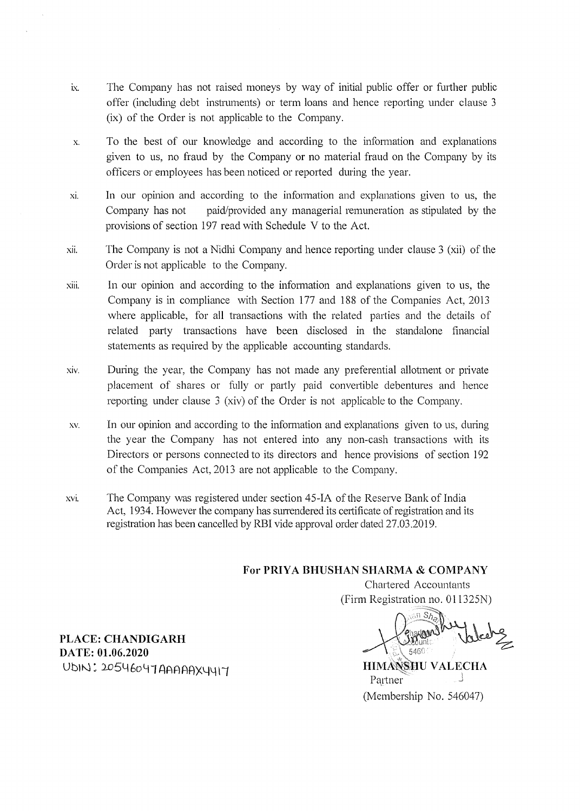- 1x. The Company has not raised moneys by way of initial public offer or further public offer (including debt instruments) or term loans and hence reporiing under clause 3 (ix) of the Order is not applicable to the Company.
- x. To the best of our knowledge and according to the information and explanations given to us, no fraud by the Company or no material fraud on the Company by its officers or employees has been noticed or reported during the year.
- xi. In our opinion and according to the information and explanations given to us, the Company has not paid/provided any managerial remuneration as stipulated by the provisions of section 197 read with Schedule V to the Act.
- xii. The Company is not a Nidhi Company and hence reporting under clause 3 (xii) of the Order is not applicable to the Company.
- xiii. In our opinion and according to the information and explanations given to us, the Company is in compliance with Section 177 and 188 of the Companies Act, 2013 where applicable, for all transactions with the related parties and the details of related party transactions have been disclosed in the standalone financial statements as required by the applicable accounting standards.
- xiv. During the year, the Company has not made any preferential allotment or private placement of shares or fully or partly paid convertible debentures and hence reporting under clause 3 (xiv) of the Order is not applicable to the Company.
- xv. In our opinion and according to the information and explanations given to us, during the year the Company has not entered into any non-cash transactions with its Directors or persons connected to its directors and hence provisions of section 192 of the Companies Act, 2013 are not applicable to the Company.
- xvi. The Company was registered tmder section 45-IA of the Reserve Bank of India Act, 1934. However the company has surrendered its certificate of registration and its registration has been cancelled by RBI vide approval order dated 27.03.2019.

## **ForPRIYA BHUSHAN SHARMA & COMPANY**

Chartered Accountants (Firm Registration no.  $011325N$ )

n *S17"'* · sheep leeps 5460

**HIMANSHU VALECHA** Partner (Membership No. 546047)

**PLACE: CHANDIGARH DA TE: 01.06.2020**  UDIN: 20546047AAAAAAXYYI7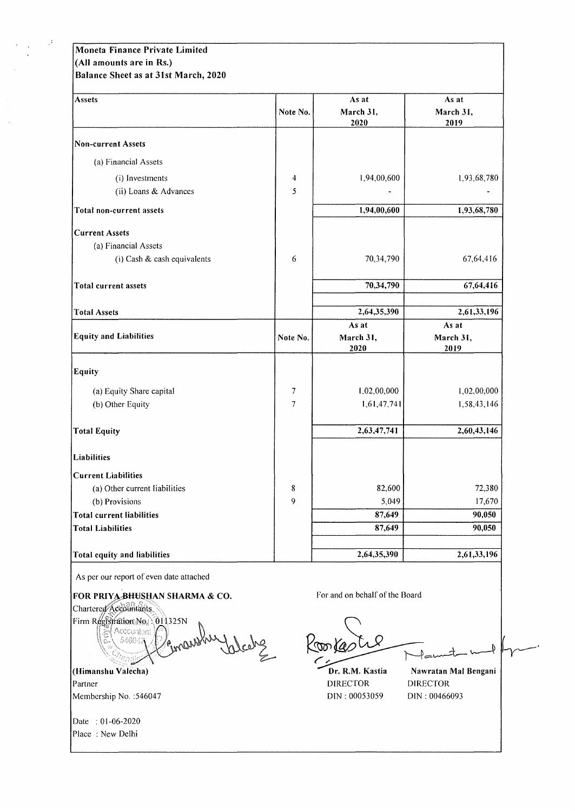**Moneta Finance Private Limited (All amounts are in Rs.) Balance Sheet as at 31st March, 2020** 

| Assets                           | Note No. | As at<br>March 31,<br>2020 | As at<br>March 31,<br>2019 |  |
|----------------------------------|----------|----------------------------|----------------------------|--|
| <b>Non-current Assets</b>        |          |                            |                            |  |
| (a) Financial Assets             |          |                            |                            |  |
| (i) Investments                  | 4        | 1,94,00,600                | 1,93,68,780                |  |
| (ii) Loans & Advances            | 5        |                            |                            |  |
| <b>Total non-current assets</b>  |          | 1,94,00,600                | 1,93,68,780                |  |
| <b>Current Assets</b>            |          |                            |                            |  |
| (a) Financial Assets             |          |                            |                            |  |
| (i) Cash & cash equivalents      | 6        | 70,34,790                  | 67,64,416                  |  |
| <b>Total current assets</b>      |          | 70,34,790                  | 67,64,416                  |  |
| <b>Total Assets</b>              |          | 2,64,35,390                | 2,61,33,196                |  |
|                                  |          | As at                      | As at                      |  |
| <b>Equity and Liabilities</b>    | Note No. | March 31,<br>2020          | March 31,<br>2019          |  |
| Equity                           |          |                            |                            |  |
| (a) Equity Share capital         | 7        | 1,02,00,000                | 1,02,00,000                |  |
| (b) Other Equity                 | 7        | 1,61,47,741                | 1,58,43,146                |  |
| <b>Total Equity</b>              |          | 2,63,47,741                | 2,60,43,146                |  |
| Liabilities                      |          |                            |                            |  |
| <b>Current Liabilities</b>       |          |                            |                            |  |
| (a) Other current liabilities    | 8        | 82,600                     | 72,380                     |  |
| (b) Provisions                   | 9        | 5,049                      | 17,670                     |  |
| <b>Total current liabilities</b> |          | 87,649                     | 90,050                     |  |
| <b>Total Liabilities</b>         |          | 87,649                     | 90,050                     |  |
| Total equity and liabilities     |          | 2,64,35,390                | 2,61,33,196                |  |

As per our report of even date attached

## **FOR PRIYA BHUSHAN SHARMA & CO.**

Chartered Acebuntants

Firm Registration No.  $\left\{ \begin{matrix} 0 & 0 \\ 0 & 0 \end{matrix} \right\}$ Responsion 1995 **(Himanshu Valecha)** 

Partner Membership No. : 546047

Date : 01-06-2020 Place: New Delhi

For and on behalf of the Board

Rookestre Mauntenand from

DIRECTOR DIRECTOR DIN: 00053059 DIN: 00466093

**Dr. R.M. Kastia Nawratan Mal Bengani**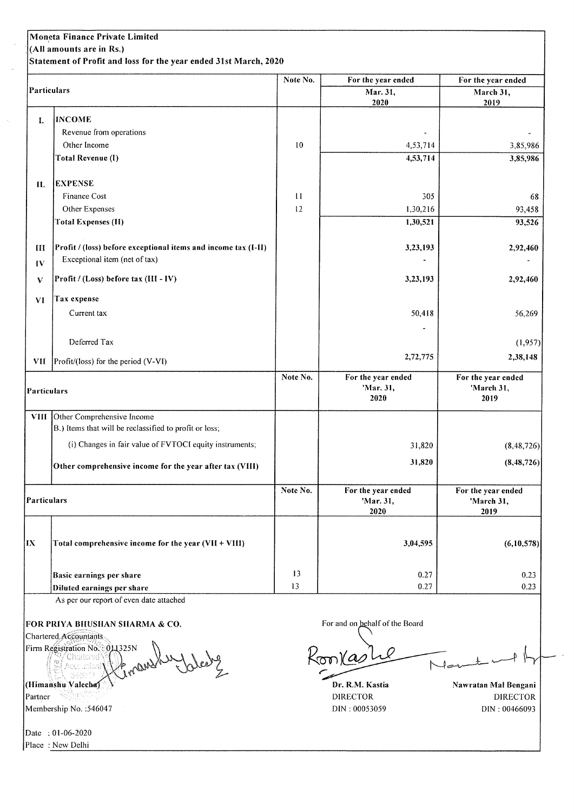|                    |                                                                | Note No.     | For the year ended                      | For the year ended                       |
|--------------------|----------------------------------------------------------------|--------------|-----------------------------------------|------------------------------------------|
| <b>Particulars</b> |                                                                |              | Mar. 31,<br>2020                        | March 31,<br>2019                        |
| L                  | <b>INCOME</b>                                                  |              |                                         |                                          |
|                    | Revenue from operations                                        |              |                                         |                                          |
|                    | Other Income                                                   | 10           | 4,53,714                                | 3,85,986                                 |
|                    | <b>Total Revenue (I)</b>                                       |              | 4,53,714                                | 3,85,986                                 |
| II.                | <b>EXPENSE</b>                                                 |              |                                         |                                          |
|                    | Finance Cost                                                   | $\mathbf{1}$ | 305                                     | 68                                       |
|                    | Other Expenses                                                 | 12           | 1,30,216                                | 93,458                                   |
|                    | <b>Total Expenses (II)</b>                                     |              | 1,30,521                                | 93,526                                   |
| Ш                  | Profit / (loss) before exceptional items and income tax (I-II) |              | 3,23,193                                | 2,92,460                                 |
| IV                 | Exceptional item (net of tax)                                  |              |                                         |                                          |
| V                  | Profit / (Loss) before tax (III - IV)                          |              | 3,23,193                                | 2,92,460                                 |
| <b>VI</b>          | Tax expense                                                    |              |                                         |                                          |
|                    | Current tax                                                    |              | 50,418                                  | 56,269                                   |
|                    | Deferred Tax                                                   |              |                                         | (1,957)                                  |
| VII-               | Profit/(loss) for the period (V-VI)                            |              | 2,72,775                                | 2,38,148                                 |
| Particulars        |                                                                | Note No.     | For the year ended<br>'Mar. 31,<br>2020 | For the year ended<br>'March 31,<br>2019 |
|                    | VIII Other Comprehensive Income                                |              |                                         |                                          |
|                    | B.) Items that will be reclassified to profit or loss;         |              |                                         |                                          |
|                    | (i) Changes in fair value of FVTOCI equity instruments;        |              | 31,820                                  | (8, 48, 726)                             |
|                    | Other comprehensive income for the year after tax (VIII)       |              | 31,820                                  | (8, 48, 726)                             |
| Particulars        |                                                                | Note No.     | For the year ended<br>'Mar. 31,<br>2020 | For the year ended<br>'March 31,<br>2019 |
| IX                 | Total comprehensive income for the year $(VII + VIII)$         |              | 3,04,595                                | (6, 10, 578)                             |
|                    | Basic earnings per share                                       | 13           | 0.27                                    | 0.23                                     |
|                    | Diluted earnings per share                                     | 13           | 0.27                                    | 0.23                                     |

Chartered, Accountants

**Membership No. :546047** DIN : 00053059 DIN : 00053059 DIN : 00466093

Firm Registration No. 201323N<br>Eleccion No. 201323N<br>Constant Rom Natural Room Kastle Teams

Dr. R.M. Kastia Nawratan Mal Bengani Partner **DIRECTOR** DIRECTOR DIRECTOR

Date : 01-06-2020 Place : New Delhi

 $\lambda_{\rm c}$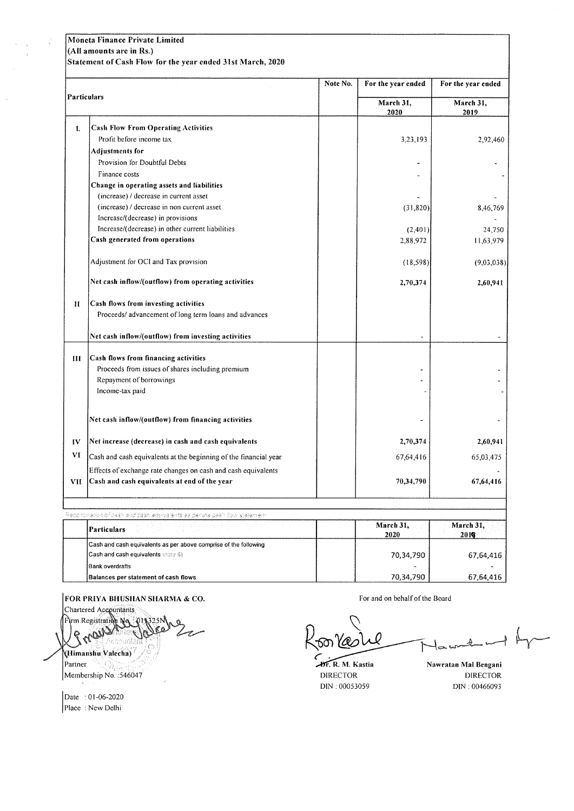### **Moncta Finance Private Limited (All amounts arc in Rs.) Statement of Cash Flow for the year ended 31st March, 2020**

 $\frac{1}{\epsilon}$ 

 $\bar{\mathbf{r}}$ 

| Particulars  |                                                                            | Note No. | For the year ended | For the year ended |  |
|--------------|----------------------------------------------------------------------------|----------|--------------------|--------------------|--|
|              |                                                                            |          | March 31,<br>2020  | March 31,<br>2019  |  |
| I.           | <b>Cash Flow From Operating Activities</b>                                 |          |                    |                    |  |
|              | Profit before income tax                                                   |          | 3,23,193           | 2,92,460           |  |
|              | <b>Adjustments for</b>                                                     |          |                    |                    |  |
|              | Provision for Doubtful Debts                                               |          |                    |                    |  |
|              | Finance costs                                                              |          |                    |                    |  |
|              | Change in operating assets and liabilities                                 |          |                    |                    |  |
|              | (increase) / decrease in current asset                                     |          |                    |                    |  |
|              | (increase) / decrease in non current asset                                 |          | (31, 820)          | 8,46,769           |  |
|              | Increase/(decrease) in provisions                                          |          |                    |                    |  |
|              | Increase/(decrease) in other current liabilities                           |          | (2,401)            | 24,750             |  |
|              | Cash generated from operations                                             |          | 2,88,972           | 11,63,979          |  |
|              | Adjustment for OCI and Tax provision                                       |          | (18, 598)          | (9,03,038)         |  |
|              | Net cash inflow/(outflow) from operating activities                        |          | 2,70,374           | 2,60,941           |  |
| $\mathbf{H}$ | Cash flows from investing activities                                       |          |                    |                    |  |
|              | Proceeds/advancement of long term loans and advances                       |          |                    |                    |  |
|              | Net cash inflow/(outflow) from investing activities                        |          |                    |                    |  |
| Ш            | Cash flows from financing activities                                       |          |                    |                    |  |
|              | Proceeds from issues of shares including premium                           |          |                    |                    |  |
|              | Repayment of borrowings                                                    |          |                    |                    |  |
|              | Income-tax paid                                                            |          |                    |                    |  |
|              | Net cash inflow/(outflow) from financing activities                        |          |                    |                    |  |
| IV           | Net increase (decrease) in cash and cash equivalents                       |          | 2,70,374           | 2,60,941           |  |
| VI           | Cash and cash equivalents at the beginning of the financial year           |          | 67,64,416          | 65,03,475          |  |
|              | Effects of exchange rate changes on cash and cash equivalents              |          |                    |                    |  |
| <b>VII</b>   | Cash and cash equivalents at end of the year                               |          | 70,34,790          | 67,64,416          |  |
|              | Reconciliation of pash and cash equivalents as per the cash flow statement |          |                    |                    |  |
|              | Particulars                                                                |          | March 31,<br>2020  | March 31,<br>2018  |  |
|              | Cash and cash equivalents as per above comprise of the following           |          |                    |                    |  |
|              | Cash and cash equivalents (note 6)                                         |          | 70,34,790          | 67,64,416          |  |

Cash and cash equivalents (note 6) Bank overdrafts **Balances per statement of cash flows**  70,34,790 70,34,790

**FOR PRIYA BHUSHAN SHARMA & CO.** Chartered Accountants Firm Registration No. 01 325M Snew Ŕ ۱R) Accountai (Himanshu Valecha) Partner Membership No. : 546047

Place : New Delhi Date : 01-06-2020 For and on behalf of the Board

**Dr.** R. M. Kastia DIRECTOR DIN . 00053059

Nawratan Mal Bengani DIRECTOR DIN: 00466093

67,64,416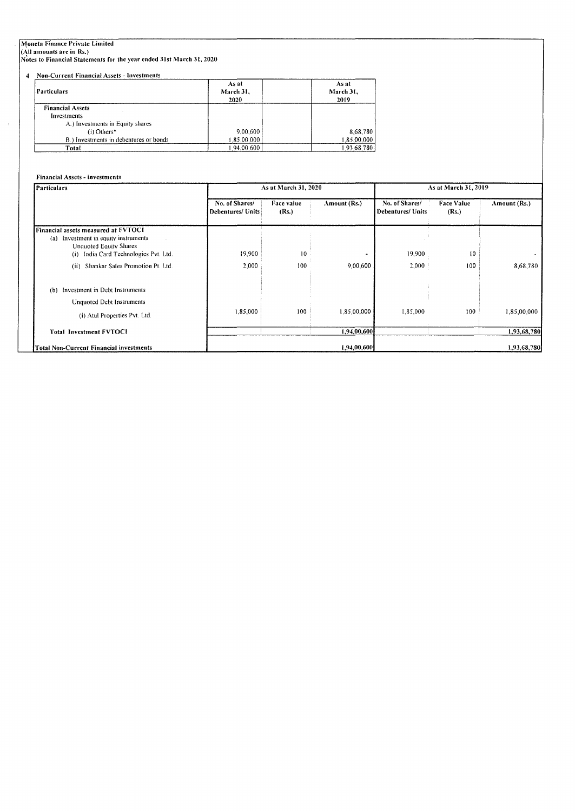#### **~oneta Finance Private Limited**

 $\hat{\beta}$ 

**(All amounts arc in Rs.) N~tes to Financial Statements for the year ended 31st March 31,** 2020

### **4 Non-Current Financial Assets - Investments**

| <b>Particulars</b>                     | As at<br>March 31.<br>2020 | As at<br>March 31.<br>2019 |
|----------------------------------------|----------------------------|----------------------------|
| <b>Financial Assets</b>                |                            |                            |
| Investments                            |                            |                            |
| A.) Investments in Equity shares       |                            |                            |
| $(i)$ Others*                          | 9.00.600                   | 8.68.780                   |
| B.) Investments in debentures or bonds | 1.85.00.000                | 1.85,00,000                |
| Total                                  | 1,94,00,600                | 1.93.68.780                |

### **Financial Assets - investments**

| Particulars                                                                                                                                    |                                     | As at March 31, 2020 |              |                                           | As at March 31, 2019       |              |
|------------------------------------------------------------------------------------------------------------------------------------------------|-------------------------------------|----------------------|--------------|-------------------------------------------|----------------------------|--------------|
|                                                                                                                                                | No. of Shares/<br>Debentures/ Units | Face value<br>(Rs.)  | Amount (Rs.) | No. of Shares/<br><b>Debentures/Units</b> | <b>Face Value</b><br>(Rs.) | Amount (Rs.) |
| Financial assets measured at FVTOCI<br>(a) Investment in equity instruments<br>Unquoted Equity Shares<br>(i) India Card Technologies Pvt. Ltd. | 19,900                              | 10                   |              | 19,900                                    | 10                         |              |
| Shankar Sales Promotion Pt. Ltd.<br>(ii)                                                                                                       | 2,000                               | 100                  | 9,00,600     | 2,000                                     | 100                        | 8,68,780     |
| Investment in Debt Instruments<br>(b)<br>Unquoted Debt Instruments                                                                             |                                     |                      |              |                                           |                            |              |
| (i) Atul Properties Pvt. Ltd.                                                                                                                  | 1.85,000                            | 100                  | 1,85,00,000  | 1,85,000                                  | 100                        | 1,85,00,000  |
| <b>Total Investment FVTOCI</b>                                                                                                                 |                                     |                      | 1,94,00,600  |                                           |                            | 1,93,68,780  |
| Total Non-Current Financial investments                                                                                                        |                                     |                      | 1,94,00,600  |                                           |                            | 1,93,68,780  |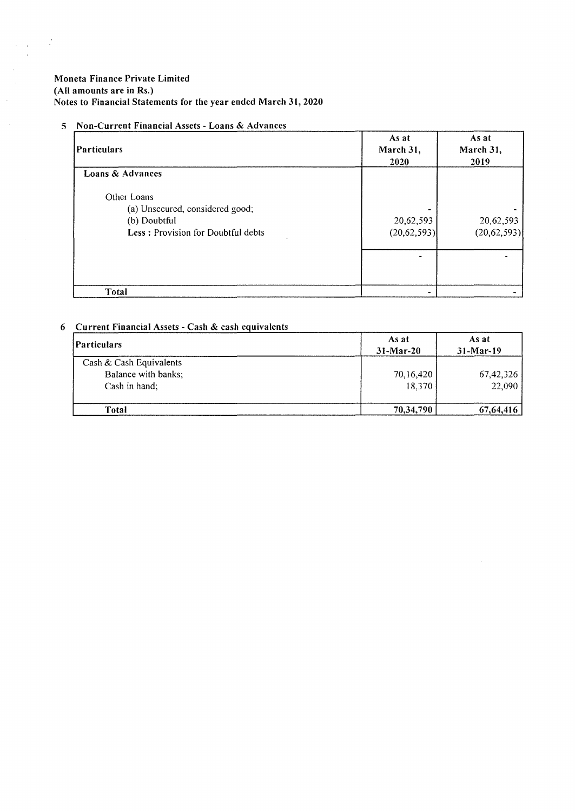## **Moneta Finance Private Limited (All amounts arc in Rs.) Notes to Financial Statements for the year ended March 31, 2020**

## **5 Non-Current Financial Assets** - **Loans** & **Advances**

 $\mathcal{L}=\frac{1}{2} \sum_{i=1}^{2} \frac{1}{2}$ 

 $\mathcal{L}^{\pm}$ 

| <b>Particulars</b>                                                                                   | As at<br>March 31,<br>2020 | As at<br>March 31,<br>2019 |
|------------------------------------------------------------------------------------------------------|----------------------------|----------------------------|
| Loans & Advances                                                                                     |                            |                            |
| Other Loans<br>(a) Unsecured, considered good;<br>(b) Doubtful<br>Less: Provision for Doubtful debts | 20,62,593<br>(20, 62, 593) | 20,62,593<br>(20, 62, 593) |
|                                                                                                      |                            |                            |
| Total                                                                                                |                            |                            |

## **6** Current Financial Assets - Cash & cash equivalents

| Particulars             | As at<br>$31-Mar-20$ | As at<br>$31-Mar-19$ |
|-------------------------|----------------------|----------------------|
| Cash & Cash Equivalents |                      |                      |
| Balance with banks;     | 70,16,420            | 67,42,326            |
| Cash in hand;           | 18,370               | 22,090               |
| Total                   | 70,34,790            | 67,64,416            |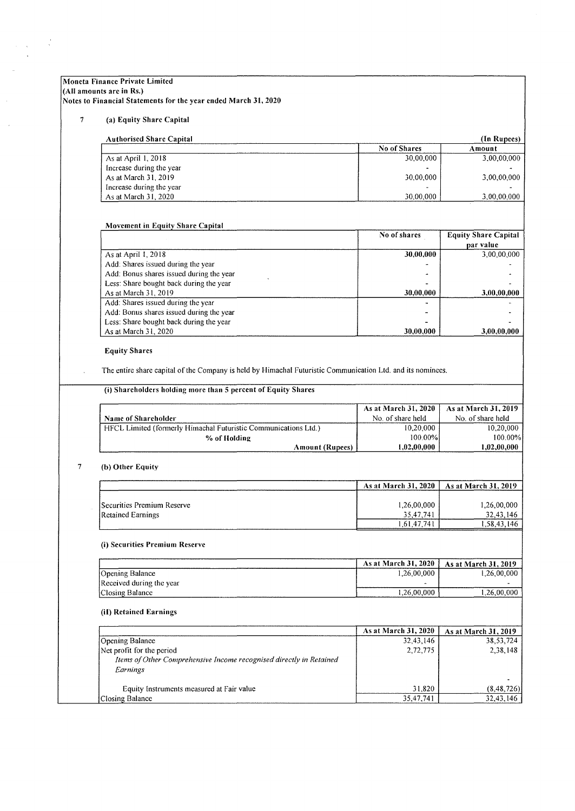### **Moneta Finance Private Limited (All amounts arc in Rs.) Notes to Financial Statements for the year ended March 31, 2020**

## 7 **(a) Equity Share Capital**

 $\frac{1}{\sqrt{2}}$ 

 $\overline{\phantom{a}}$ 

 $\bar{\gamma}$ 

| <b>Authorised Share Capital</b> |              | (In Rupees) |
|---------------------------------|--------------|-------------|
|                                 | No of Shares | Amount      |
| As at April 1, 2018             | 30,00,000    | 3,00,00,000 |
| Increase during the year        |              |             |
| As at March 31, 2019            | 30,00,000    | 3,00,00,000 |
| Increase during the year        |              |             |
| As at March 31, 2020            | 30,00,000    | 3,00,00,000 |

## **Movement in Equity Share Capital**

| Movement in Equity Share Capital         |              |                             |  |
|------------------------------------------|--------------|-----------------------------|--|
|                                          | No of shares | <b>Equity Share Capital</b> |  |
|                                          |              | par value                   |  |
| As at April 1, 2018                      | 30,00,000    | 3,00,00,000                 |  |
| Add: Shares issued during the year       |              |                             |  |
| Add: Bonus shares issued during the year |              |                             |  |
| Less: Share bought back during the year  |              |                             |  |
| As at March 31, 2019                     | 30,00,000    | 3,00,00,000                 |  |
| Add: Shares issued during the year       | -            |                             |  |
| Add: Bonus shares issued during the year |              |                             |  |
| Less: Share bought back during the year  |              |                             |  |
| As at March 31, 2020                     | 30,00,000    | 3,00,00,000                 |  |

### **Equity Shares**

 $\bar{\mathcal{A}}$ 

The entire share capital of the Company is held by Himachal Futuristic Communication Ltd. and its nominees.

| (i) Shareholders holding more than 5 percent of Equity Shares   |                      |                      |
|-----------------------------------------------------------------|----------------------|----------------------|
|                                                                 | As at March 31, 2020 | As at March 31, 2019 |
| Name of Shareholder                                             | No. of share held    | No. of share held    |
| HFCL Limited (formerly Himachal Futuristic Communications Ltd.) | 10,20,000            | 10,20,000            |
| % of Holding                                                    | $100.00\%$           | $100.00\%$           |
| <b>Amount</b> (Rupees)                                          | 1.02.00.000          | 1,02,00,000          |

### 7 **(b) Other Equity**

|                            | As at March 31, 2020 | As at March 31, 2019 |
|----------------------------|----------------------|----------------------|
|                            |                      |                      |
| Securities Premium Reserve | 1,26,00,000          | 1,26,00,000          |
| Retained Earnings          | 35.47.741            | 32.43.146            |
|                            | 1,61,47,741          | 1,58,43,146          |

### (i) **Securities Premium Reserve**

|                          | As at March 31, 2020     | As at March 31, 2019 |
|--------------------------|--------------------------|----------------------|
| Opening Balance          | 1.26,00,000              | 1,26,00,000          |
| Received during the year | $\overline{\phantom{a}}$ |                      |
| <b>Closing Balance</b>   | .26.00.000               | 1,26,00,000          |

### (ii) **Retained Earnings**

|                                                                     | As at March 31, 2020 | As at March 31, 2019 |
|---------------------------------------------------------------------|----------------------|----------------------|
| Opening Balance                                                     | 32.43,146            | 38, 53, 724          |
| Net profit for the period                                           | 2,72,775             | 2,38,148             |
| Items of Other Comprehensive Income recognised directly in Retained |                      |                      |
| Earnings                                                            |                      |                      |
|                                                                     |                      |                      |
| Equity Instruments measured at Fair value                           | 31,820               | (8, 48, 726)         |
| lClosing Balance                                                    | 35,47,741            | 32,43,146            |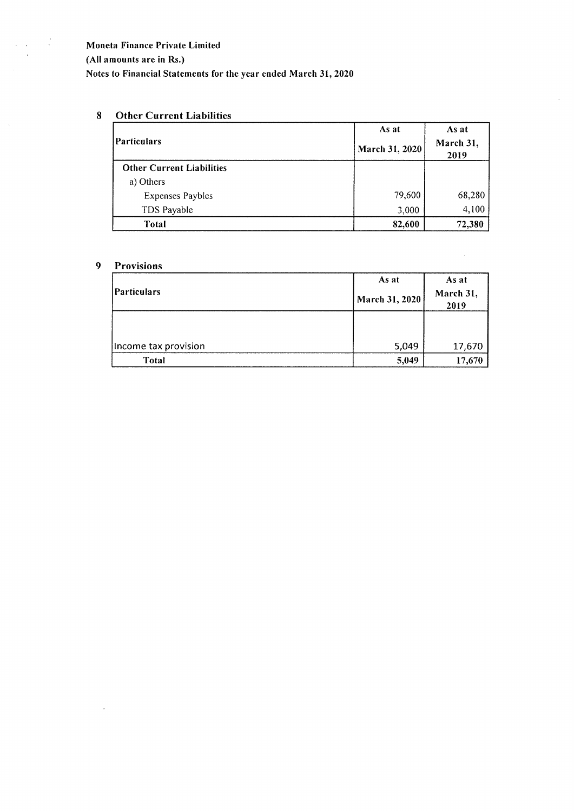## Moneta Finance Private Limited (All amounts are in Rs.) Notes to Financial Statements for the year ended March 31, 2020

## **8 Other Current Liabilities**

|                                  | As at          | As at<br>March 31,<br>2019 |  |
|----------------------------------|----------------|----------------------------|--|
| Particulars                      | March 31, 2020 |                            |  |
| <b>Other Current Liabilities</b> |                |                            |  |
| a) Others                        |                |                            |  |
| <b>Expenses Paybles</b>          | 79,600         | 68,280                     |  |
| TDS Payable                      | 3,000          | 4,100                      |  |
| Total                            | 82,600         | 72,380                     |  |

## **9 Provisions**

 $\hat{\mathcal{A}}$ 

 $\label{eq:2} \frac{1}{\sqrt{2\pi}}\frac{1}{\sqrt{2\pi}}\frac{1}{\sqrt{2\pi}}\left(\frac{1}{\sqrt{2\pi}}\right)^2\frac{1}{\sqrt{2\pi}}\frac{1}{\sqrt{2\pi}}\,.$ 

 $\hat{\mathcal{A}}$ 

|                      | As at          | As at             |
|----------------------|----------------|-------------------|
| <b>Particulars</b>   | March 31, 2020 | March 31,<br>2019 |
|                      |                |                   |
| Income tax provision | 5,049          | 17,670            |
| Total                | 5,049          | 17,670            |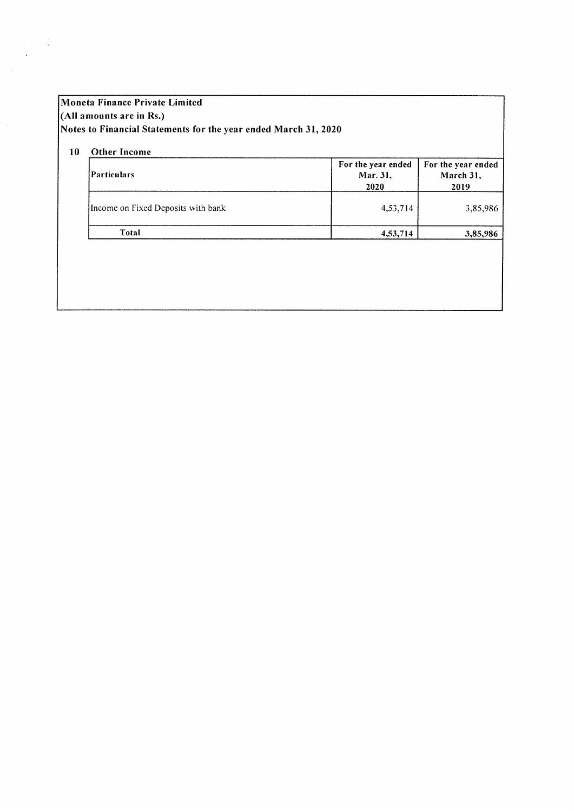## Moneta Finance Private Limited (All amounts are in Rs.) Notes to Financial Statements for the year ended March 31, 2020

## 10 Other Income

 $\label{eq:2.1} \begin{array}{l} \mathcal{A} \\ \mathcal{B} \end{array}$  $\Delta$ 

 $\mathcal{L}_{\mathcal{A}}$ 

 $\bar{\mathcal{A}}$ 

| <i><u><b>Particulars</b></u></i>   | For the year ended<br>Mar. 31,<br>2020 | For the year ended<br>March 31,<br>2019 |  |
|------------------------------------|----------------------------------------|-----------------------------------------|--|
| Income on Fixed Deposits with bank | 4,53,714                               | 3,85,986                                |  |
| Total                              | 4,53,714                               | 3,85,986                                |  |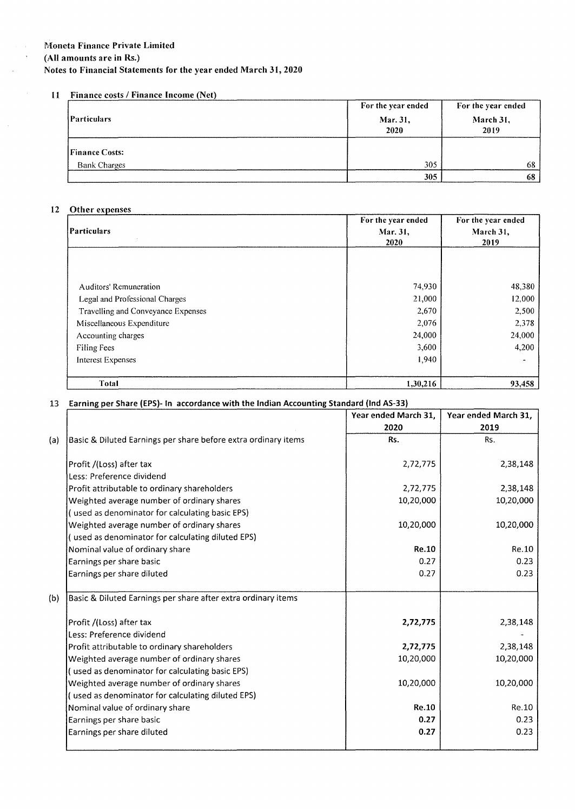## Moneta Finance Private Limited (All amounts are in Rs.) Notes to Financial Statements for the year ended March 31, 2020

### 11 Finance costs/ Finance Income (Net)

|                       | For the year ended | For the year ended<br>March 31,<br>2019 |  |
|-----------------------|--------------------|-----------------------------------------|--|
| Particulars           | Mar. 31,<br>2020   |                                         |  |
| <b>Finance Costs:</b> |                    |                                         |  |
| <b>Bank Charges</b>   | 305                | 68                                      |  |
|                       | 305                | 68                                      |  |

## 12 Other expenses

| Other expenses                     | For the year ended | For the year ended<br>March 31, |  |
|------------------------------------|--------------------|---------------------------------|--|
| Particulars                        | Mar. 31,           |                                 |  |
|                                    | 2020               | 2019                            |  |
|                                    |                    |                                 |  |
|                                    |                    |                                 |  |
| Auditors' Remuneration             | 74,930             | 48,380                          |  |
| Legal and Professional Charges     | 21,000             | 12,000                          |  |
| Travelling and Conveyance Expenses | 2,670              | 2,500                           |  |
| Miscellaneous Expenditure          | 2,076              | 2,378                           |  |
| Accounting charges                 | 24,000             | 24,000                          |  |
| Filing Fees                        | 3,600              | 4,200                           |  |
| <b>Interest Expenses</b>           | 1,940              |                                 |  |
| Total                              | 1,30,216           | 93,458                          |  |

## 13 **Earning per Share (EPS)- In accordance with the Indian Accounting Standard (Ind AS-33)**

|     |                                                                | Year ended March 31, | Year ended March 31, |
|-----|----------------------------------------------------------------|----------------------|----------------------|
|     |                                                                | 2020                 | 2019                 |
| (a) | Basic & Diluted Earnings per share before extra ordinary items | Rs.                  | Rs.                  |
|     | Profit /(Loss) after tax                                       | 2,72,775             | 2,38,148             |
|     | Less: Preference dividend                                      |                      |                      |
|     | Profit attributable to ordinary shareholders                   | 2,72,775             | 2,38,148             |
|     | Weighted average number of ordinary shares                     | 10,20,000            | 10,20,000            |
|     | (used as denominator for calculating basic EPS)                |                      |                      |
|     | Weighted average number of ordinary shares                     | 10,20,000            | 10,20,000            |
|     | (used as denominator for calculating diluted EPS)              |                      |                      |
|     | Nominal value of ordinary share                                | Re.10                | Re.10                |
|     | Earnings per share basic                                       | 0.27                 | 0.23                 |
|     | Earnings per share diluted                                     | 0.27                 | 0.23                 |
| (b) | Basic & Diluted Earnings per share after extra ordinary items  |                      |                      |
|     | Profit /(Loss) after tax                                       | 2,72,775             | 2,38,148             |
|     | Less: Preference dividend                                      |                      |                      |
|     | Profit attributable to ordinary shareholders                   | 2,72,775             | 2,38,148             |
|     | Weighted average number of ordinary shares                     | 10,20,000            | 10,20,000            |
|     | (used as denominator for calculating basic EPS)                |                      |                      |
|     | Weighted average number of ordinary shares                     | 10,20,000            | 10,20,000            |
|     | (used as denominator for calculating diluted EPS)              |                      |                      |
|     | Nominal value of ordinary share                                | <b>Re.10</b>         | Re.10                |
|     | Earnings per share basic                                       | 0.27                 | 0.23                 |
|     | Earnings per share diluted                                     | 0.27                 | 0.23                 |
|     |                                                                |                      |                      |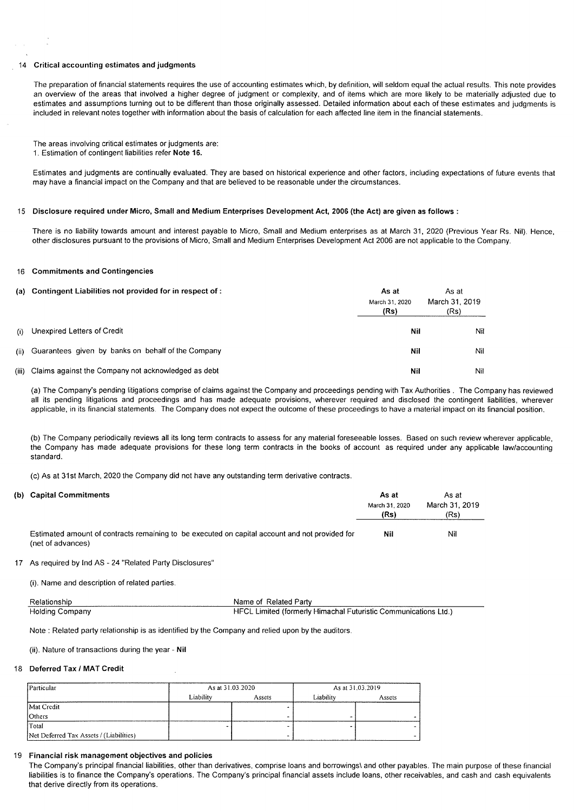#### 14 **Critical accounting estimates and judgments**

The preparation of financial statements requires the use of accounting estimates which, by definition, will seldom equal the actual results. This note provides an overview of the areas that involved a higher degree of judgment or complexity, and of items which are more likely to be materially adjusted due to estimates and assumptions turning out to be different than those originally assessed. Detailed information about each of these estimates and judgments is included in relevant notes together with information about the basis of calculation for each affected line item in the financial statements.

The areas involving critical estimates or judgments are: 1. Estimation of contingent liabilities refer **Note 16.** 

Estimates and judgments are continually evaluated. They are based on historical experience and other factors, including expectations of future events that may have a financial impact on the Company and that are believed to be reasonable under the circumstances.

#### 15 **Disclosure required under Micro, Small and Medium Enterprises Development Act, 2006 (the Act) are given as follows** :

There is no liability towards amount and interest payable to Micro, Small and Medium enterprises as at March 31, 2020 (Previous Year Rs. Nil). Hence, other disclosures pursuant to the provisions of Micro, Small and Medium Enterprises Development Act 2006 are not applicable to the Company.

**As at** 

**As at** 

As at

As at

### 16 **Commitments and Contingencies**

## **(a) Contingent Liabilities not provided for in respect of:**

|     |                                                           | March 31, 2020<br>(Rs) | March 31, 2019<br>(Rs) |
|-----|-----------------------------------------------------------|------------------------|------------------------|
| (i) | Unexpired Letters of Credit                               | Nil                    | Nil                    |
|     | (ii) Guarantees given by banks on behalf of the Company   | Nil                    | Nil                    |
|     | (iii) Claims against the Company not acknowledged as debt | Nil                    | Nil                    |

(a) The Company's pending litigations comprise of claims against the Company and proceedings pending with Tax Authorities . The Company has reviewed all its pending litigations and proceedings and has made adequate provisions, wherever required and disclosed the contingent liabilities, wherever applicable, in its financial statements. The Company does not expect the outcome of these proceedings to have a material impact on its financial position.

(b) The Company periodically reviews all its long term contracts to assess for any material foreseeable losses. Based on such review wherever applicable, the Company has made adequate provisions for these long term contracts in the books of account as required under any applicable law/accounting standard.

(c) As at 31st March, 2020 the Company did not have any outstanding term derivative contracts.

#### **(b) Capital Commitments**

| ---------------------------                                                                    |                |                |  |
|------------------------------------------------------------------------------------------------|----------------|----------------|--|
|                                                                                                | March 31, 2020 | March 31, 2019 |  |
|                                                                                                | (Rs)           | (Rs)           |  |
| Estimated amount of contracts remaining to be executed on capital account and not provided for | Nil            | Nil            |  |
|                                                                                                |                |                |  |
| (net of advances)                                                                              |                |                |  |

#### 17 As required by Ind AS - 24 "Related Party Disclosures"

(i). Name and description of related parties.

| Relationship           | Name of Related Party                                           |
|------------------------|-----------------------------------------------------------------|
| <b>Holding Company</b> | HFCL Limited (formerly Himachal Futuristic Communications Ltd.) |

Note : Related party relationship is as identified by the Company and relied upon by the auditors.

(ii). Nature of transactions during the year - **Nil** 

#### 18 **Deferred Tax I MAT Credit**

| Particular                              | As at 31.03.2020 |        | As at 31,03,2019 |        |
|-----------------------------------------|------------------|--------|------------------|--------|
|                                         | Liability        | Assets |                  | Assets |
| Mat Credit                              |                  |        |                  |        |
| <b>Others</b>                           |                  |        |                  |        |
| Total                                   |                  |        |                  |        |
| Net Deferred Tax Assets / (Liabilities) |                  |        |                  |        |

### 19 **Financial risk management objectives and policies**

The Company's principal financial liabilities, other than derivatives, comprise loans and borrowings\ and other payables. The main purpose of these financial liabilities is to finance the Company's operations. The Company's principal financial assets include loans, other receivables, and cash and cash equivalents that derive directly from its operations.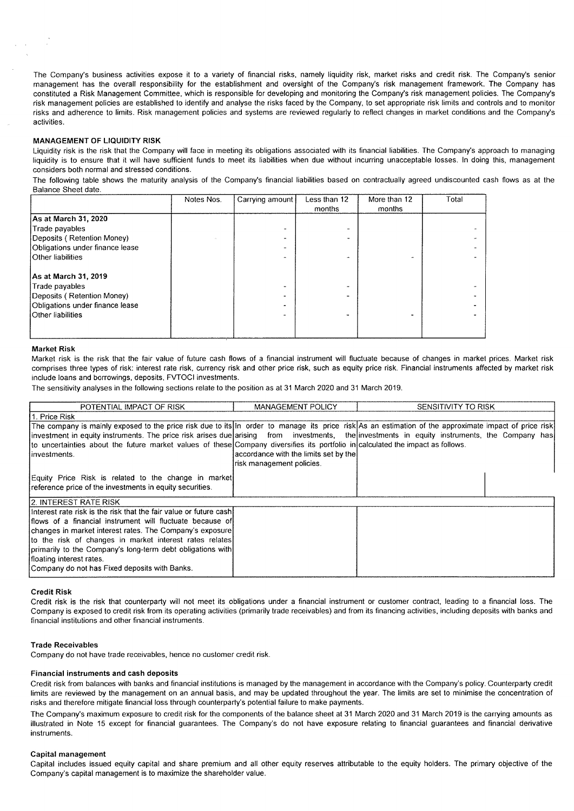The Company's business activities expose it to a variety of financial risks, namely liquidity risk, market risks and credit risk. The Company's senior management has the overall responsibility for the establishment and oversight of the Company's risk management framework. The Company has constituted a Risk Management Committee, which is responsible for developing and monitoring the Company's risk management policies. The Company's risk management policies are established to identify and analyse the risks faced by the Company, to set appropriate risk limits and controls and to monitor risks and adherence to limits. Risk management policies and systems are reviewed regularly to reflect changes in market conditions and the Company's activities.

#### **MANAGEMENT OF LIQUIDITY RISK**

Liquidity risk is the risk that the Company will face in meeting its obligations associated with its financial liabilities. The Company's approach to managing liquidity is to ensure that it will have sufficient funds to meet its liabilities when due without incurring unacceptable losses. In doing this, management considers both normal and stressed conditions.

The following table shows the maturity analysis of the Company's financial liabilities based on contractually agreed undiscounted cash flows as at the Balance Sheet date

|                                 | Notes Nos. | Carrying amount | Less than 12 | More than 12 | Total |
|---------------------------------|------------|-----------------|--------------|--------------|-------|
|                                 |            |                 | months       | months       |       |
| As at March 31, 2020            |            |                 |              |              |       |
| Trade payables                  |            |                 |              |              |       |
| Deposits (Retention Money)      |            |                 |              |              |       |
| Obligations under finance lease |            |                 |              |              |       |
| <b>Other liabilities</b>        |            |                 |              |              |       |
| As at March 31, 2019            |            |                 |              |              |       |
| Trade payables                  |            |                 |              |              |       |
| Deposits (Retention Money)      |            |                 |              |              |       |
| Obligations under finance lease |            |                 |              |              |       |
| <b>Other liabilities</b>        |            |                 |              |              |       |
|                                 |            |                 |              |              |       |
|                                 |            |                 |              |              |       |

#### **Market Risk**

Market risk is the risk that the fair value of future cash flows of a financial instrument will fluctuate because of changes in market prices. Market risk comprises three types of risk: interest rate risk, currency risk and other price risk, such as equity price risk. Financial instruments affected by market risk include loans and borrowings, deposits, FVTOCI investments.

The sensitivity analyses in the following sections relate to the position as at 31 March 2020 and 31 March 2019.

|                                                                                                                                                       | <b>MANAGEMENT POLICY</b>              |                     |
|-------------------------------------------------------------------------------------------------------------------------------------------------------|---------------------------------------|---------------------|
| POTENTIAL IMPACT OF RISK                                                                                                                              |                                       | SENSITIVITY TO RISK |
| l 1. Price Risk                                                                                                                                       |                                       |                     |
| The company is mainly exposed to the price risk due to its ln order to manage its price risk As an estimation of the approximate impact of price risk |                                       |                     |
| linvestment in equity instruments. The price risk arises duelarising from investments, the investments in equity instruments, the Company has         |                                       |                     |
| to uncertainties about the future market values of these Company diversifies its portfolio in calculated the impact as follows.                       |                                       |                     |
| linvestments.                                                                                                                                         | accordance with the limits set by the |                     |
|                                                                                                                                                       | Irisk management policies.            |                     |
| Equity Price Risk is related to the change in market                                                                                                  |                                       |                     |
| reference price of the investments in equity securities.                                                                                              |                                       |                     |
| 2. INTEREST RATE RISK                                                                                                                                 |                                       |                     |
| Interest rate risk is the risk that the fair value or future cash!                                                                                    |                                       |                     |
| Iflows of a financial instrument will fluctuate because of                                                                                            |                                       |                     |
| changes in market interest rates. The Company's exposure                                                                                              |                                       |                     |
| to the risk of changes in market interest rates relates                                                                                               |                                       |                     |
| primarily to the Company's long-term debt obligations with                                                                                            |                                       |                     |
| floating interest rates.                                                                                                                              |                                       |                     |
| Company do not has Fixed deposits with Banks.                                                                                                         |                                       |                     |

#### **Credit Risk**

Credit risk is the risk that counterparty will not meet its obligations under a financial instrument or customer contract, leading to a financial loss. The Company is exposed to credit risk from its operating activities (primarily trade receivables) and from its financing activities, including deposits with banks and financial institutions and other financial instruments.

#### **Trade Receivables**

Company do not have trade receivables, hence no customer credit risk.

#### **Financial instruments and cash deposits**

Credit risk from balances with banks and financial institutions is managed by the management in accordance with the Company's policy. Counterparty credit limits are reviewed by the management on an annual basis, and may be updated throughout the year. The limits are set to minimise the concentration of risks and therefore mitigate financial loss through counterparty's potential failure to make payments.

The Company's maximum exposure to credit risk for the components of the balance sheet at 31 March 2020 and 31 March 2019 is the carrying amounts as illustrated in Note 15 except for financial guarantees. The Company's do not have exposure relating to financial guarantees and financial derivative instruments.

#### **Capital management**

Capital includes issued equity capital and share premium and all other equity reserves attributable to the equity holders. The primary objective of the Company's capital management is to maximize the shareholder value.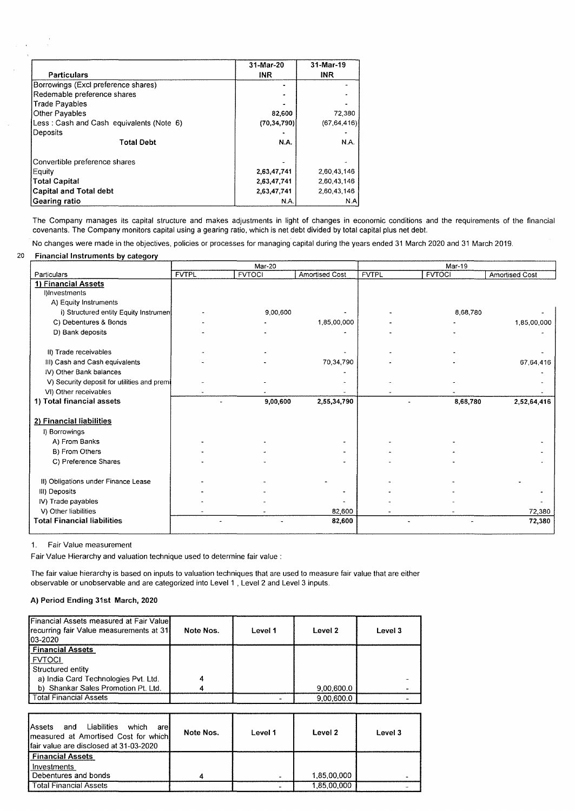| <b>Particulars</b>                       | 31-Mar-20<br><b>INR</b> | 31-Mar-19<br><b>INR</b> |
|------------------------------------------|-------------------------|-------------------------|
| Borrowings (Excl preference shares)      |                         |                         |
| Redemable preference shares              |                         |                         |
| Trade Payables                           |                         |                         |
| Other Payables                           | 82,600                  | 72.380                  |
| Less: Cash and Cash equivalents (Note 6) | (70, 34, 790)           | (67, 64, 416)           |
| Deposits                                 |                         |                         |
| <b>Total Debt</b>                        | N.A.                    | N.A.                    |
| Convertible preference shares            |                         |                         |
| Equity                                   | 2,63,47,741             | 2,60,43,146             |
| Total Capital                            | 2,63,47,741             | 2,60,43,146             |
| Capital and Total debt                   | 2,63,47,741             | 2,60,43,146             |
| Gearing ratio                            | N.A                     | N.A                     |

The Company manages its capital structure and makes adjustments in light of changes in economic conditions and the requirements of the financial covenants. The Company monitors capital using a gearing ratio, which is net debt divided by total capital plus net debt.

No changes were made in the objectives. policies or processes for managing capital during the years ended 31 March 2020 and 31 March 2019.

### 20 **Financial Instruments by category**

 $\mathcal{L} = \mathcal{L}$ 

|                                             |              | Mar-20        |                       |              | Mar-19        |                       |
|---------------------------------------------|--------------|---------------|-----------------------|--------------|---------------|-----------------------|
| Particulars                                 | <b>FVTPL</b> | <b>FVTOCI</b> | <b>Amortised Cost</b> | <b>FVTPL</b> | <b>FVTOCI</b> | <b>Amortised Cost</b> |
| 1) Financial Assets                         |              |               |                       |              |               |                       |
| I)Investments                               |              |               |                       |              |               |                       |
| A) Equity Instruments                       |              |               |                       |              |               |                       |
| i) Structured entity Equity Instrumen       |              | 9.00.600      |                       |              | 8.68.780      |                       |
| C) Debentures & Bonds                       |              |               | 1,85,00,000           |              |               | 1,85,00,000           |
| D) Bank deposits                            |              |               |                       |              |               |                       |
|                                             |              |               |                       |              |               |                       |
| II) Trade receivables                       |              |               |                       |              |               |                       |
| III) Cash and Cash equivalents              |              |               | 70,34,790             |              |               | 67,64,416             |
| IV) Other Bank balances                     |              |               |                       |              |               |                       |
| V) Security deposit for utilities and premi |              |               |                       |              |               |                       |
| VI) Other receivables                       |              |               |                       |              |               |                       |
| 1) Total financial assets                   |              | 9,00,600      | 2,55,34,790           |              | 8,68,780      | 2,52,64,416           |
|                                             |              |               |                       |              |               |                       |
| 2) Financial liabilities                    |              |               |                       |              |               |                       |
| I) Borrowings                               |              |               |                       |              |               |                       |
| A) From Banks                               |              |               |                       |              |               |                       |
| B) From Others                              |              |               |                       |              |               |                       |
| C) Preference Shares                        |              |               |                       |              |               |                       |
|                                             |              |               |                       |              |               |                       |
| II) Obligations under Finance Lease         |              |               |                       |              |               |                       |
| III) Deposits                               |              |               |                       |              |               |                       |
| IV) Trade payables                          |              |               |                       |              |               |                       |
| V) Other liabilities                        |              |               | 82,600                |              |               | 72,380                |
| <b>Total Financial liabilities</b>          |              |               | 82,600                |              |               | 72,380                |
|                                             |              |               |                       |              |               |                       |

#### 1. Fair Value measurement

Fair Value Hierarchy and valuation technique used to determine fair value :

The fair value hierarchy is based on inputs to valuation techniques that are used to measure fair value that are either observable or unobservable and are categorized into Level 1 • Level 2 and Level 3 inputs.

### **A) Period Ending 31st March, 2020**

| Financial Assets measured at Fair Valuel<br>Trecurring fair Value measurements at 31<br>03-2020 | Note Nos. | Level 1 | Level 2    | Level 3 |
|-------------------------------------------------------------------------------------------------|-----------|---------|------------|---------|
| <b>Financial Assets</b>                                                                         |           |         |            |         |
| <b>FVTOCI</b>                                                                                   |           |         |            |         |
| Structured entity                                                                               |           |         |            |         |
| a) India Card Technologies Pvt. Ltd.                                                            |           |         |            |         |
| b) Shankar Sales Promotion Pt. Ltd.                                                             |           |         | 9.00.600.0 |         |
| <b>Total Financial Assets</b>                                                                   |           |         | 9,00,600.0 |         |

| Liabilities<br>which arel<br>and<br><b>IAssets</b><br>Imeasured at Amortised Cost for which<br>Ifair value are disclosed at 31-03-2020 | Note Nos. | Level 1 | Level 2     | Level 3 |
|----------------------------------------------------------------------------------------------------------------------------------------|-----------|---------|-------------|---------|
| <b>Financial Assets</b>                                                                                                                |           |         |             |         |
| Investments                                                                                                                            |           |         |             |         |
| Debentures and bonds                                                                                                                   |           |         | 1,85,00,000 |         |
| <b>Total Financial Assets</b>                                                                                                          |           |         | 1.85.00.000 |         |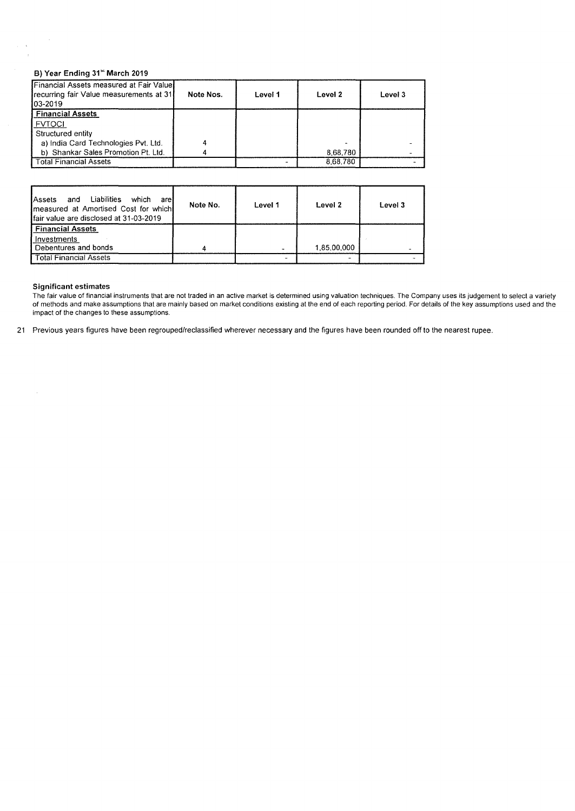### **B) Year Ending 31" March 2019**

 $\bar{\beta}$ 

 $\mathcal{A}$ 

| Financial Assets measured at Fair Valuel<br>recurring fair Value measurements at 31<br>103-2019 | Note Nos. | Level 1 | Level 2  | Level 3 |
|-------------------------------------------------------------------------------------------------|-----------|---------|----------|---------|
| <b>Financial Assets</b>                                                                         |           |         |          |         |
| <b>FVTOCI</b>                                                                                   |           |         |          |         |
| Structured entity                                                                               |           |         |          |         |
| a) India Card Technologies Pvt. Ltd.                                                            |           |         |          |         |
| b) Shankar Sales Promotion Pt. Ltd.                                                             |           |         | 8,68,780 |         |
| <b>Total Financial Assets</b>                                                                   |           |         | 8.68.780 |         |

| <b>Assets</b><br>Liabilities<br>which<br>and<br>arel<br>Imeasured at Amortised Cost for which<br>Ifair value are disclosed at 31-03-2019 | Note No. | Level 1 | Level <sub>2</sub> | Level 3 |
|------------------------------------------------------------------------------------------------------------------------------------------|----------|---------|--------------------|---------|
| <b>Financial Assets</b><br>I Investments<br>Debentures and bonds                                                                         |          |         | 1,85,00,000        |         |
| Total Financial Assets                                                                                                                   |          |         |                    |         |

#### **Significant estimates**

The fair value of financial instruments that are not traded in an active market is determined using valuation techniques. The Company uses its judgement to select a variety of methods and make assumptions that are mainly based on market conditions existing at the end of each reporting period. For details of the key assumptions used and the impact of the changes to these assumptions.

21 Previous years figures have been regrouped/reclassified wherever necessary and the figures have been rounded off to the nearest rupee.